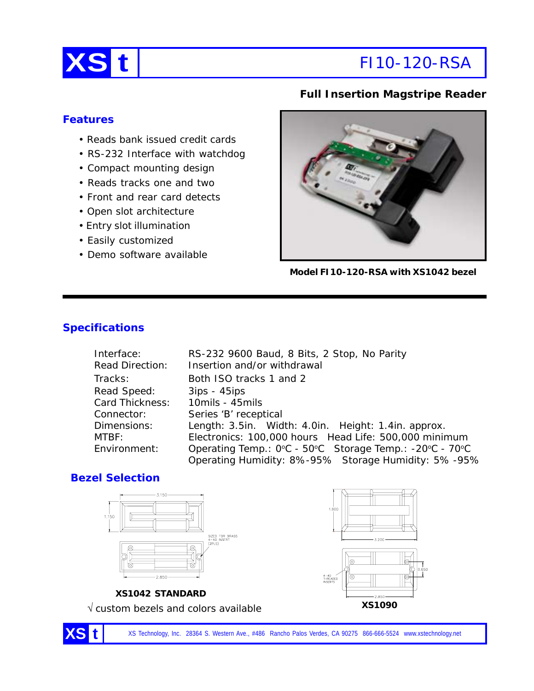

# **XS t** FI10-120-RSA

## **Full Insertion Magstripe Reader**

#### **Features**

- Reads bank issued credit cards
- RS-232 Interface with watchdog
- Compact mounting design
- Reads tracks one and two
- Front and rear card detects
- Open slot architecture
- Entry slot illumination
- Easily customized
- Demo software available



**Model FI10-120-RSA with XS1042 bezel**

# **Specifications**

| Interface:      | RS-232 9600 Baud, 8 Bits, 2 Stop, No Parity             |
|-----------------|---------------------------------------------------------|
| Read Direction: | Insertion and/or withdrawal                             |
| Tracks:         | Both ISO tracks 1 and 2                                 |
| Read Speed:     | $3ips - 45ips$                                          |
| Card Thickness: | 10mils - 45mils                                         |
| Connector:      | Series 'B' receptical                                   |
| Dimensions:     | Length: 3.5in. Width: 4.0in. Height: 1.4in. approx.     |
| MTBF:           | Electronics: 100,000 hours Head Life: 500,000 minimum   |
| Environment:    | Operating Temp.: 0°C - 50°C Storage Temp.: -20°C - 70°C |
|                 | Operating Humidity: 8%-95% Storage Humidity: 5%-95%     |

#### **Bezel Selection**



XS Technology, Inc. 28364 S. Western Ave., #486 Rancho Palos Verdes, CA 90275 866-666-5524 www.xstechnology.net